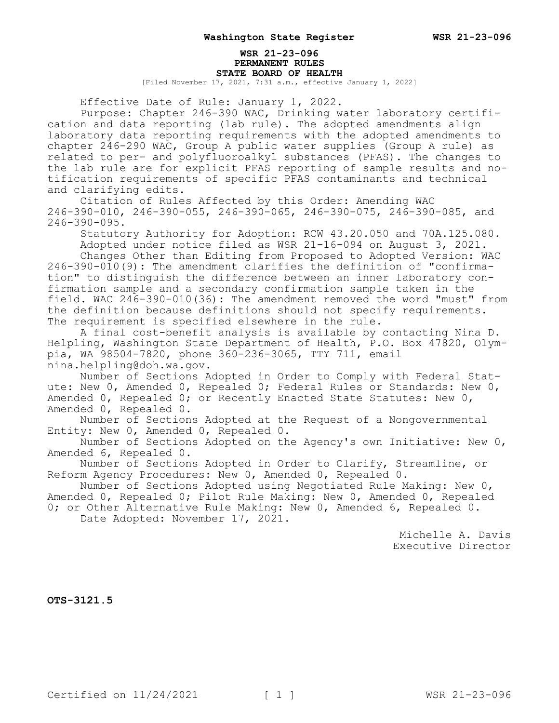### **WSR 21-23-096 PERMANENT RULES STATE BOARD OF HEALTH**

[Filed November 17, 2021, 7:31 a.m., effective January 1, 2022]

Effective Date of Rule: January 1, 2022.

Purpose: Chapter 246-390 WAC, Drinking water laboratory certification and data reporting (lab rule). The adopted amendments align laboratory data reporting requirements with the adopted amendments to chapter 246-290 WAC, Group A public water supplies (Group A rule) as related to per- and polyfluoroalkyl substances (PFAS). The changes to the lab rule are for explicit PFAS reporting of sample results and notification requirements of specific PFAS contaminants and technical and clarifying edits.

Citation of Rules Affected by this Order: Amending WAC 246-390-010, 246-390-055, 246-390-065, 246-390-075, 246-390-085, and 246-390-095.

Statutory Authority for Adoption: RCW 43.20.050 and 70A.125.080. Adopted under notice filed as WSR 21-16-094 on August 3, 2021.

Changes Other than Editing from Proposed to Adopted Version: WAC 246-390-010(9): The amendment clarifies the definition of "confirmation" to distinguish the difference between an inner laboratory confirmation sample and a secondary confirmation sample taken in the field. WAC 246-390-010(36): The amendment removed the word "must" from the definition because definitions should not specify requirements. The requirement is specified elsewhere in the rule.

A final cost-benefit analysis is available by contacting Nina D. Helpling, Washington State Department of Health, P.O. Box 47820, Olympia, WA 98504-7820, phone 360-236-3065, TTY 711, email nina.helpling@doh.wa.gov.

Number of Sections Adopted in Order to Comply with Federal Statute: New 0, Amended 0, Repealed 0; Federal Rules or Standards: New 0, Amended 0, Repealed 0; or Recently Enacted State Statutes: New 0, Amended 0, Repealed 0.

Number of Sections Adopted at the Request of a Nongovernmental Entity: New 0, Amended 0, Repealed 0.

Number of Sections Adopted on the Agency's own Initiative: New 0, Amended 6, Repealed 0.

Number of Sections Adopted in Order to Clarify, Streamline, or Reform Agency Procedures: New 0, Amended 0, Repealed 0.

Number of Sections Adopted using Negotiated Rule Making: New 0, Amended 0, Repealed 0; Pilot Rule Making: New 0, Amended 0, Repealed

0; or Other Alternative Rule Making: New 0, Amended 6, Repealed 0. Date Adopted: November 17, 2021.

> Michelle A. Davis Executive Director

**OTS-3121.5**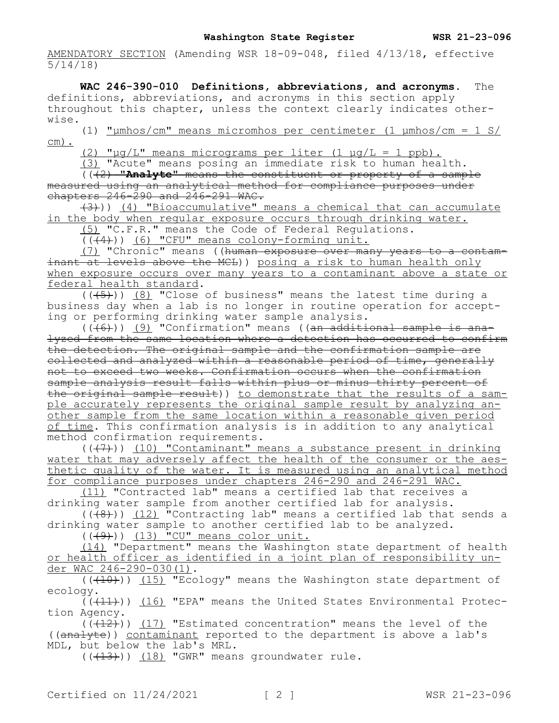AMENDATORY SECTION (Amending WSR 18-09-048, filed 4/13/18, effective 5/14/18)

**WAC 246-390-010 Definitions, abbreviations, and acronyms.** The definitions, abbreviations, and acronyms in this section apply throughout this chapter, unless the context clearly indicates otherwise.

(1) "µmhos/cm" means micromhos per centimeter (1 µmhos/cm = 1 S/ cm).

(2) " $\mu q/L$ " means micrograms per liter (1  $\mu q/L = 1$  ppb).

(3) "Acute" means posing an immediate risk to human health.

(((2) **"Analyte"** means the constituent or property of a sample measured using an analytical method for compliance purposes under chapters  $246 - 290$  and  $246 - 291$  WAC.

(3))) (4) "Bioaccumulative" means a chemical that can accumulate in the body when regular exposure occurs through drinking water.

(5) "C.F.R." means the Code of Federal Regulations.

(((4))) (6) "CFU" means colony-forming unit.

(7) "Chronic" means ((human exposure over many years to a contaminant at levels above the MCL)) posing a risk to human health only when exposure occurs over many years to a contaminant above a state or federal health standard.

12011 12020 12020 12020 12020 12020 12020 12020 12020 12030 12030 12030 12040 12050 12050 12050 12050 12050 12<br>((<del>(5)</del>)) (8) Close of business" means the latest time during a business day when a lab is no longer in routine operation for accepting or performing drinking water sample analysis.

 $((-(6))$  (9) "Confirmation" means ((an additional sample is analyzed from the same location where a detection has occurred to confirm the detection. The original sample and the confirmation sample are collected and analyzed within a reasonable period of time, generally not to exceed two weeks. Confirmation occurs when the confirmation sample analysis result falls within plus or minus thirty percent of the original sample result)) to demonstrate that the results of a sample accurately represents the original sample result by analyzing another sample from the same location within a reasonable given period of time. This confirmation analysis is in addition to any analytical method confirmation requirements.

 $((+7))$  (10) "Contaminant" means a substance present in drinking water that may adversely affect the health of the consumer or the aesthetic quality of the water. It is measured using an analytical method for compliance purposes under chapters 246-290 and 246-291 WAC.

(11) "Contracted lab" means a certified lab that receives a drinking water sample from another certified lab for analysis.

 $((\overline{48}))$  (12) "Contracting lab" means a certified lab that sends a drinking water sample to another certified lab to be analyzed.

 $((+9))$   $(13)$  "CU" means color unit.

(14) "Department" means the Washington state department of health or health officer as identified in a joint plan of responsibility under WAC 246-290-030(1).

 $((+10))$  (15) "Ecology" means the Washington state department of ecology.

 $( ( +11) )$ ) (16) "EPA" means the United States Environmental Protection Agency.

 $(\sqrt{12})$ ) (17) "Estimated concentration" means the level of the ((analyte)) contaminant reported to the department is above a lab's MDL, but below the lab's MRL.

 $((+13))$  (18) "GWR" means groundwater rule.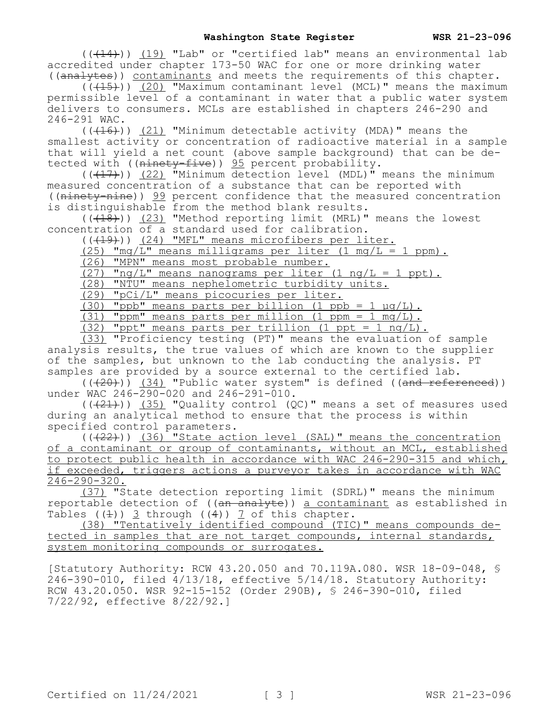$((+14))$  (19) "Lab" or "certified lab" means an environmental lab accredited under chapter 173-50 WAC for one or more drinking water ((analytes)) contaminants and meets the requirements of this chapter.

(((15))) <u>(20)</u> "Maximum contaminant level (MCL)" means the maximum permissible level of a contaminant in water that a public water system delivers to consumers. MCLs are established in chapters 246-290 and 246-291 WAC.

 $((+16))$   $(21)$  "Minimum detectable activity (MDA)" means the smallest activity or concentration of radioactive material in a sample that will yield a net count (above sample background) that can be detected with (( $n$ inety-five))  $\frac{95}{2}$  percent probability.

 $((+17))$  (22) "Minimum detection level (MDL)" means the minimum measured concentration of a substance that can be reported with ((ninety-nine)) 99 percent confidence that the measured concentration is distinguishable from the method blank results.

 $((\overline{18})^n)$  (23) "Method reporting limit (MRL)" means the lowest concentration of a standard used for calibration.

(((19))) (24) "MFL" means microfibers per liter.

 $(25)$  "mg/L" means milligrams per liter  $(1 \text{ mg/L} = 1 \text{ ppm})$ .

(26) "MPN" means most probable number.

 $(27)$  "ng/L" means nanograms per liter  $(1 \text{ ng/L} = 1 \text{ ppt})$ .

(28) "NTU" means nephelometric turbidity units.

(29) "pCi/L" means picocuries per liter.

(30) "ppb" means parts per billion  $(1 \text{ ppb} = 1 \text{ µq/L})$ .

(31) "ppm" means parts per million (1 ppm = 1 mg/L).

(32) "ppt" means parts per trillion (1 ppt = 1 ng/L).

(33) "Proficiency testing (PT)" means the evaluation of sample analysis results, the true values of which are known to the supplier of the samples, but unknown to the lab conducting the analysis. PT samples are provided by a source external to the certified lab.

 $((+20))$  (34) "Public water system" is defined ((and referenced)) under WAC 246-290-020 and 246-291-010.

 $((+21))$   $(35)$  "Quality control  $(QC)$ " means a set of measures used during an analytical method to ensure that the process is within specified control parameters.

 $((+22))$  (36) "State action level (SAL)" means the concentration of a contaminant or group of contaminants, without an MCL, established to protect public health in accordance with WAC 246-290-315 and which, if exceeded, triggers actions a purveyor takes in accordance with WAC 246-290-320.

(37) "State detection reporting limit (SDRL)" means the minimum reportable detection of ((an analyte)) a contaminant as established in Tables  $(4)$ ) 3 through  $(4)$ ) 7 of this chapter.

(38) "Tentatively identified compound (TIC)" means compounds detected in samples that are not target compounds, internal standards, system monitoring compounds or surrogates.

[Statutory Authority: RCW 43.20.050 and 70.119A.080. WSR 18-09-048, §  $246-390-010$ , filed  $4/13/18$ , effective  $5/14/18$ . Statutory Authority: RCW 43.20.050. WSR 92-15-152 (Order 290B), § 246-390-010, filed 7/22/92, effective 8/22/92.]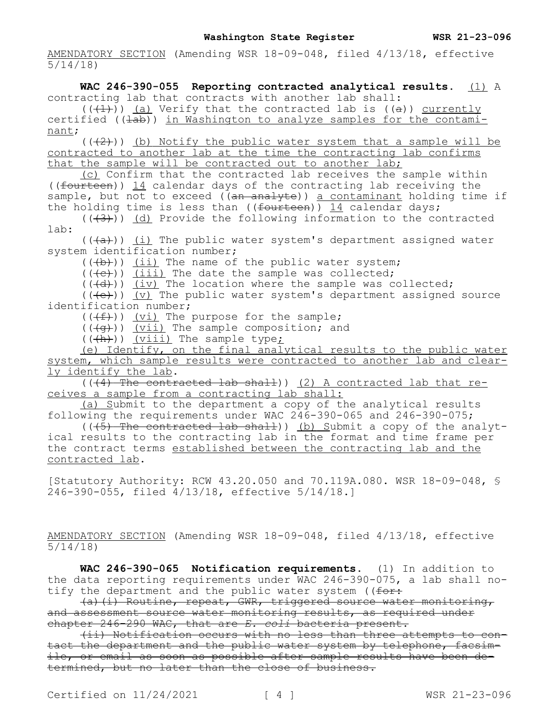AMENDATORY SECTION (Amending WSR 18-09-048, filed 4/13/18, effective 5/14/18)

**WAC 246-390-055 Reporting contracted analytical results.** (1) A contracting lab that contracts with another lab shall:  $((+1)^{\overline{j}})$  (a) Verify that the contracted lab is ((a)) currently certified (( $\pm$ ab)) in Washington to analyze samples for the contaminant;  $((+2))$  (b) Notify the public water system that a sample will be contracted to another lab at the time the contracting lab confirms

that the sample will be contracted out to another lab;

(c) Confirm that the contracted lab receives the sample within ((fourteen)) 14 calendar days of the contracting lab receiving the sample, but not to exceed ( $\overline{(an\ an\ a\}$ ) a contaminant holding time if the holding time is less than ((fourteen)) 14 calendar days;

 $((+3))$  (d) Provide the following information to the contracted lab:

 $((+a))$  (i) The public water system's department assigned water system identification number;

 $((+b))$  (ii) The name of the public water system;

 $((+e))$  (iii) The date the sample was collected;

 $((+d))$  (iv) The location where the sample was collected;

 $((+e))$   $(v)$  The public water system's department assigned source identification number;

 $((+f))$   $(vi)$  The purpose for the sample;

 $((+g))$  ( $vii)$  The sample composition; and

 $((+h))$  (viii) The sample type;

(e) Identify, on the final analytical results to the public water system, which sample results were contracted to another lab and clearly identify the lab.

 $(1.4)$  The contracted lab shall)) (2) A contracted lab that receives a sample from a contracting lab shall:

(a) Submit to the department a copy of the analytical results following the requirements under WAC 246-390-065 and 246-390-075;

 $((+5)$  The contracted lab shall)) (b) Submit a copy of the analytical results to the contracting lab in the format and time frame per the contract terms established between the contracting lab and the contracted lab.

[Statutory Authority: RCW 43.20.050 and 70.119A.080. WSR 18-09-048, § 246-390-055, filed 4/13/18, effective 5/14/18.]

AMENDATORY SECTION (Amending WSR 18-09-048, filed 4/13/18, effective 5/14/18)

**WAC 246-390-065 Notification requirements.** (1) In addition to the data reporting requirements under WAC 246-390-075, a lab shall notify the department and the public water system ( $f \rightarrow f$ 

(a)(i) Routine, repeat, GWR, triggered source water monitoring, and assessment source water monitoring results, as required under chapter 246-290 WAC, that are *E. coli* bacteria present.

(ii) Notification occurs with no less than three attempts to contact the department and the public water system by telephone, facsimile, or email as soon as possible after sample results have been determined, but no later than the close of business.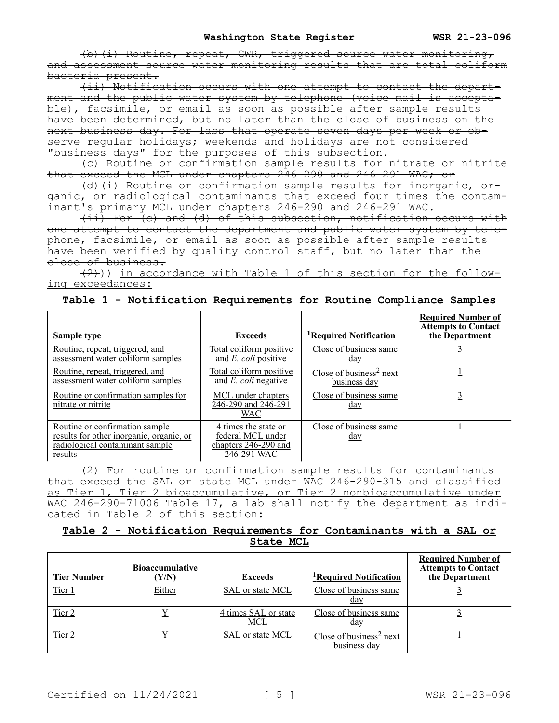(b)(i) Routine, repeat, GWR, triggered source water monitoring, and assessment source water monitoring results that are total coliform bacteria present.

(ii) Notification occurs with one attempt to contact the department and the public water system by telephone (voice mail is acceptable), facsimile, or email as soon as possible after sample results have been determined, but no later than the close of business on the next business day. For labs that operate seven days per week or observe regular holidays; weekends and holidays are not considered "business days" for the purposes of this subsection.

(c) Routine or confirmation sample results for nitrate or nitrite that exceed the MCL under chapters 246-290 and 246-291 WAC; or

(d)(i) Routine or confirmation sample results for inorganic, organic, or radiological contaminants that exceed four times the contaminant's primary MCL under chapters 246-290 and 246-291 WAC.

(ii) For (c) and (d) of this subsection, notification occurs with one attempt to contact the department and public water system by telephone, facsimile, or email as soon as possible after sample results have been verified by quality control staff, but no later than the close of business.

 $(2)$ )) in accordance with Table 1 of this section for the following exceedances:

| <b>Sample type</b>                                                                                                       | <b>Exceeds</b>                                                                   | <sup>1</sup> Required Notification                  | <b>Required Number of</b><br><b>Attempts to Contact</b><br>the Department |
|--------------------------------------------------------------------------------------------------------------------------|----------------------------------------------------------------------------------|-----------------------------------------------------|---------------------------------------------------------------------------|
|                                                                                                                          |                                                                                  |                                                     |                                                                           |
| Routine, repeat, triggered, and<br>assessment water coliform samples                                                     | Total coliform positive<br>and <i>E. coli</i> positive                           | Close of business same<br>day                       |                                                                           |
| Routine, repeat, triggered, and<br>assessment water coliform samples                                                     | Total coliform positive<br>and $E.$ coli negative                                | Close of business <sup>2</sup> next<br>business day |                                                                           |
| Routine or confirmation samples for<br>nitrate or nitrite                                                                | MCL under chapters<br>246-290 and 246-291<br><b>WAC</b>                          | Close of business same<br>day                       |                                                                           |
| Routine or confirmation sample<br>results for other inorganic, organic, or<br>radiological contaminant sample<br>results | 4 times the state or<br>federal MCL under<br>chapters 246-290 and<br>246-291 WAC | Close of business same<br>day                       |                                                                           |

|  | Table 1 - Notification Requirements for Routine Compliance Samples |  |  |  |  |
|--|--------------------------------------------------------------------|--|--|--|--|
|  |                                                                    |  |  |  |  |

(2) For routine or confirmation sample results for contaminants that exceed the SAL or state MCL under WAC 246-290-315 and classified as Tier 1, Tier 2 bioaccumulative, or Tier 2 nonbioaccumulative under WAC 246-290-71006 Table 17, a lab shall notify the department as indicated in Table 2 of this section:

## **Table 2 - Notification Requirements for Contaminants with a SAL or State MCL**

| <b>Tier Number</b> | <b>Bioaccumulative</b><br>(Y/N) | <b>Exceeds</b>              | <sup>1</sup> Required Notification                  | <b>Required Number of</b><br><b>Attempts to Contact</b><br>the Department |
|--------------------|---------------------------------|-----------------------------|-----------------------------------------------------|---------------------------------------------------------------------------|
| Tier 1             | Either                          | SAL or state MCL            | Close of business same<br><u>day</u>                |                                                                           |
| Tier 2             |                                 | 4 times SAL or state<br>MCL | Close of business same<br>day                       |                                                                           |
| Tier 2             |                                 | SAL or state MCL            | Close of business <sup>2</sup> next<br>business day |                                                                           |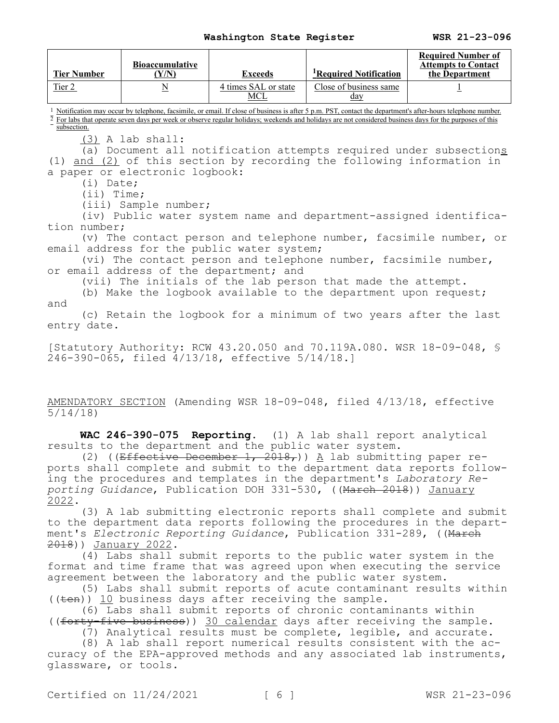| <b>Tier Number</b>                                                                                                        | <b>Bioaccumulative</b><br>(Y/N)                                                                                                                                                                                                                                                                                                                 | <b>Exceeds</b>                                                                        | <sup>1</sup> Required Notification                                                                                                                                                               | <b>Required Number of</b><br><b>Attempts to Contact</b><br>the Department                                                              |  |  |
|---------------------------------------------------------------------------------------------------------------------------|-------------------------------------------------------------------------------------------------------------------------------------------------------------------------------------------------------------------------------------------------------------------------------------------------------------------------------------------------|---------------------------------------------------------------------------------------|--------------------------------------------------------------------------------------------------------------------------------------------------------------------------------------------------|----------------------------------------------------------------------------------------------------------------------------------------|--|--|
| Tier 2                                                                                                                    | $\underline{\mathbf{N}}$                                                                                                                                                                                                                                                                                                                        | 4 times SAL or state<br><b>MCL</b>                                                    | Close of business same<br>day                                                                                                                                                                    | $\overline{1}$                                                                                                                         |  |  |
| subsection.                                                                                                               | <sup>1</sup> Notification may occur by telephone, facsimile, or email. If close of business is after 5 p.m. PST, contact the department's after-hours telephone number.<br>$\frac{1}{2}$ For labs that operate seven days per week or observe regular holidays; weekends and holidays are not considered business days for the purposes of this |                                                                                       |                                                                                                                                                                                                  |                                                                                                                                        |  |  |
| $(i)$ Date;<br>$(ii)$ Time;                                                                                               | $(3)$ A lab shall:<br>a paper or electronic logbook:<br>(iii) Sample number;                                                                                                                                                                                                                                                                    |                                                                                       | (1) and (2) of this section by recording the following information in                                                                                                                            | (a) Document all notification attempts required under subsections                                                                      |  |  |
| tion number;                                                                                                              |                                                                                                                                                                                                                                                                                                                                                 |                                                                                       |                                                                                                                                                                                                  | (iv) Public water system name and department-assigned identifica-<br>(v) The contact person and telephone number, facsimile number, or |  |  |
|                                                                                                                           |                                                                                                                                                                                                                                                                                                                                                 | email address for the public water system;<br>or email address of the department; and | (vi) The contact person and telephone number, facsimile number,<br>(vii) The initials of the lab person that made the attempt.<br>(b) Make the logbook available to the department upon request; |                                                                                                                                        |  |  |
| and<br>entry date.                                                                                                        | (c) Retain the logbook for a minimum of two years after the last                                                                                                                                                                                                                                                                                |                                                                                       |                                                                                                                                                                                                  |                                                                                                                                        |  |  |
| [Statutory Authority: RCW 43.20.050 and 70.119A.080. WSR 18-09-048, \$<br>246-390-065, filed 4/13/18, effective 5/14/18.] |                                                                                                                                                                                                                                                                                                                                                 |                                                                                       |                                                                                                                                                                                                  |                                                                                                                                        |  |  |
| 5/14/18                                                                                                                   |                                                                                                                                                                                                                                                                                                                                                 |                                                                                       | AMENDATORY SECTION (Amending WSR 18-09-048, filed 4/13/18, effective                                                                                                                             |                                                                                                                                        |  |  |
|                                                                                                                           |                                                                                                                                                                                                                                                                                                                                                 | results to the department and the public water system.                                | WAC 246-390-075 Reporting. (1) A lab shall report analytical                                                                                                                                     |                                                                                                                                        |  |  |

(2) ((Effective December 1, 2018,)) A lab submitting paper reports shall complete and submit to the department data reports following the procedures and templates in the department's *Laboratory Reporting Guidance*, Publication DOH 331-530, ((March 2018)) January 2022.

(3) A lab submitting electronic reports shall complete and submit to the department data reports following the procedures in the department's *Electronic Reporting Guidance*, Publication 331-289, ((March 2018)) January 2022.

(4) Labs shall submit reports to the public water system in the format and time frame that was agreed upon when executing the service agreement between the laboratory and the public water system.

(5) Labs shall submit reports of acute contaminant results within  $((\text{ten}))$  10 business days after receiving the sample.

(6) Labs shall submit reports of chronic contaminants within ((forty-five business)) 30 calendar days after receiving the sample.

(7) Analytical results must be complete, legible, and accurate.

(8) A lab shall report numerical results consistent with the accuracy of the EPA-approved methods and any associated lab instruments, glassware, or tools.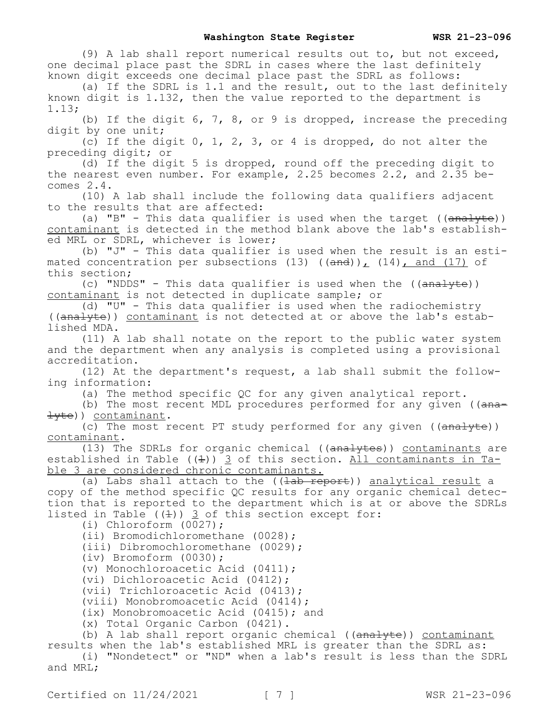(9) A lab shall report numerical results out to, but not exceed, one decimal place past the SDRL in cases where the last definitely known digit exceeds one decimal place past the SDRL as follows: (a) If the SDRL is 1.1 and the result, out to the last definitely known digit is 1.132, then the value reported to the department is 1.13; (b) If the digit  $6, 7, 8,$  or 9 is dropped, increase the preceding digit by one unit; (c) If the digit 0, 1, 2, 3, or 4 is dropped, do not alter the preceding digit; or (d) If the digit 5 is dropped, round off the preceding digit to the nearest even number. For example, 2.25 becomes 2.2, and 2.35 becomes 2.4. (10) A lab shall include the following data qualifiers adjacent to the results that are affected: (a) "B" - This data qualifier is used when the target  $((\text{analyte}))$ contaminant is detected in the method blank above the lab's established MRL or SDRL, whichever is lower; (b) "J" - This data qualifier is used when the result is an estimated concentration per subsections  $(13)$   $((and))$ ,  $(14)$ , and  $(17)$  of this section; (c) "NDDS" - This data qualifier is used when the  $((\text{analyte}))$ contaminant is not detected in duplicate sample; or (d) "U" - This data qualifier is used when the radiochemistry ((analyte)) contaminant is not detected at or above the lab's established MDA. (11) A lab shall notate on the report to the public water system and the department when any analysis is completed using a provisional accreditation. (12) At the department's request, a lab shall submit the following information: (a) The method specific QC for any given analytical report. (b) The most recent MDL procedures performed for any given ( $(a<sub>max</sub> \pm$ <del>yte</del>)) contaminant. (c) The most recent PT study performed for any given  $((\text{analytic}))$ contaminant. (13) The SDRLs for organic chemical ( $(\overline{analytes})$ ) contaminants are established in Table  $((1))^3$  of this section. All contaminants in Table 3 are considered chronic contaminants. (a) Labs shall attach to the ((<del>lab report</del>)) analytical result a copy of the method specific QC results for any organic chemical detection that is reported to the department which is at or above the SDRLs listed in Table  $((4))$   $\overline{3}$  of this section except for: (i) Chloroform (0027); (ii) Bromodichloromethane (0028); (iii) Dibromochloromethane (0029); (iv) Bromoform (0030); (v) Monochloroacetic Acid (0411); (vi) Dichloroacetic Acid (0412); (vii) Trichloroacetic Acid (0413); (viii) Monobromoacetic Acid (0414); (ix) Monobromoacetic Acid (0415); and (x) Total Organic Carbon (0421). (b) A lab shall report organic chemical  $((analyte))$  contaminant results when the lab's established MRL is greater than the SDRL as: (i) "Nondetect" or "ND" when a lab's result is less than the SDRL and MRL;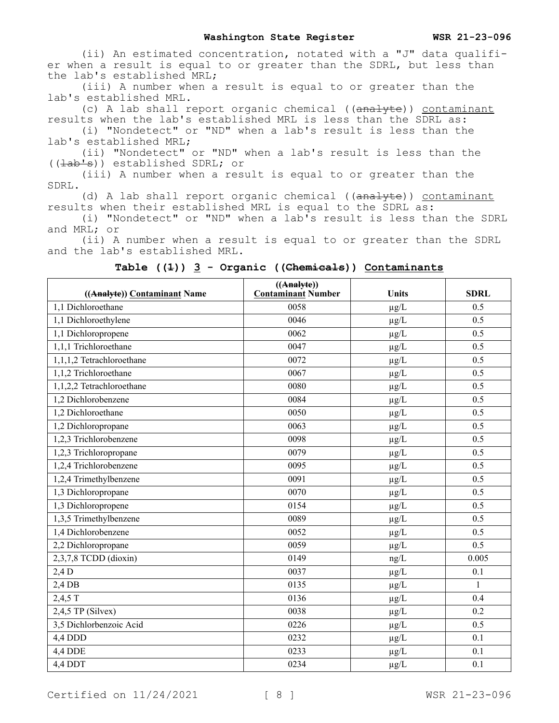(ii) An estimated concentration, notated with a "J" data qualifier when a result is equal to or greater than the SDRL, but less than the lab's established MRL;

(iii) A number when a result is equal to or greater than the lab's established MRL.

(c) A lab shall report organic chemical ((analyte)) contaminant results when the lab's established MRL is less than the SDRL as:

(i) "Nondetect" or "ND" when a lab's result is less than the lab's established MRL;

(ii) "Nondetect" or "ND" when a lab's result is less than the ((lab's)) established SDRL; or

(iii) A number when a result is equal to or greater than the SDRL.

(d) A lab shall report organic chemical ((analyte)) contaminant results when their established MRL is equal to the SDRL as:

(i) "Nondetect" or "ND" when a lab's result is less than the SDRL and MRL; or

(ii) A number when a result is equal to or greater than the SDRL and the lab's established MRL.

| ((Analyte)) Contaminant Name | ((Analyte))<br><b>Contaminant Number</b> | Units     | <b>SDRL</b>  |
|------------------------------|------------------------------------------|-----------|--------------|
| 1,1 Dichloroethane           | 0058                                     | $\mu g/L$ | 0.5          |
| 1,1 Dichloroethylene         | 0046                                     | $\mu g/L$ | 0.5          |
| 1,1 Dichloropropene          | 0062                                     | $\mu g/L$ | 0.5          |
| 1,1,1 Trichloroethane        | 0047                                     | $\mu g/L$ | 0.5          |
| 1,1,1,2 Tetrachloroethane    | 0072                                     | $\mu g/L$ | 0.5          |
| 1,1,2 Trichloroethane        | 0067                                     | $\mu g/L$ | 0.5          |
| 1,1,2,2 Tetrachloroethane    | 0080                                     | $\mu g/L$ | 0.5          |
| 1,2 Dichlorobenzene          | 0084                                     | $\mu g/L$ | 0.5          |
| 1,2 Dichloroethane           | 0050                                     | $\mu g/L$ | 0.5          |
| 1,2 Dichloropropane          | 0063                                     | $\mu g/L$ | 0.5          |
| 1,2,3 Trichlorobenzene       | 0098                                     | $\mu g/L$ | 0.5          |
| 1,2,3 Trichloropropane       | 0079                                     | $\mu g/L$ | 0.5          |
| 1,2,4 Trichlorobenzene       | 0095                                     | $\mu g/L$ | 0.5          |
| 1,2,4 Trimethylbenzene       | 0091                                     | $\mu g/L$ | 0.5          |
| 1,3 Dichloropropane          | 0070                                     | $\mu g/L$ | 0.5          |
| 1,3 Dichloropropene          | 0154                                     | $\mu g/L$ | 0.5          |
| 1,3,5 Trimethylbenzene       | 0089                                     | $\mu g/L$ | 0.5          |
| 1,4 Dichlorobenzene          | 0052                                     | $\mu g/L$ | 0.5          |
| 2,2 Dichloropropane          | 0059                                     | $\mu g/L$ | 0.5          |
| $2,3,7,8$ TCDD (dioxin)      | 0149                                     | ng/L      | 0.005        |
| $2,4$ D                      | 0037                                     | $\mu g/L$ | 0.1          |
| 2,4 DB                       | 0135                                     | $\mu g/L$ | $\mathbf{1}$ |
| 2,4,5 T                      | 0136                                     | $\mu g/L$ | 0.4          |
| $2,4,5$ TP (Silvex)          | 0038                                     | $\mu g/L$ | 0.2          |
| 3,5 Dichlorbenzoic Acid      | 0226                                     | $\mu g/L$ | 0.5          |
| 4,4 DDD                      | 0232                                     | $\mu g/L$ | 0.1          |
| 4,4 DDE                      | 0233                                     | $\mu g/L$ | 0.1          |
| 4,4 DDT                      | 0234                                     | $\mu g/L$ | 0.1          |

### **Table ((1)) 3 - Organic ((Chemicals)) Contaminants**

Certified on  $11/24/2021$  [ 8 ] WSR 21-23-096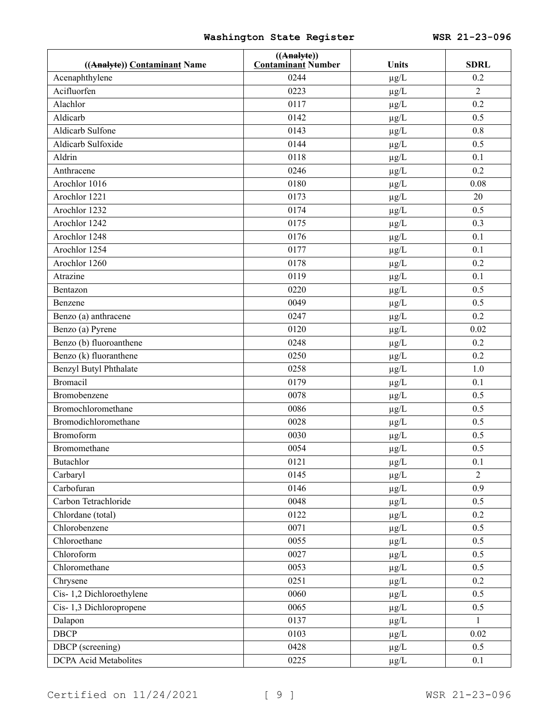| ((Analyte)) Contaminant Name | $((\text{Analyte})$<br><b>Contaminant Number</b> | Units     | <b>SDRL</b>    |
|------------------------------|--------------------------------------------------|-----------|----------------|
| Acenaphthylene               | 0244                                             | $\mu g/L$ | 0.2            |
| Acifluorfen                  | 0223                                             | $\mu g/L$ | $\overline{2}$ |
| Alachlor                     | 0117                                             | $\mu g/L$ | 0.2            |
| Aldicarb                     | 0142                                             | $\mu g/L$ | 0.5            |
| Aldicarb Sulfone             | 0143                                             | $\mu g/L$ | 0.8            |
| Aldicarb Sulfoxide           | 0144                                             | $\mu g/L$ | 0.5            |
| Aldrin                       | 0118                                             | $\mu g/L$ | 0.1            |
| Anthracene                   | 0246                                             | $\mu g/L$ | 0.2            |
| Arochlor 1016                | 0180                                             | $\mu g/L$ | 0.08           |
| Arochlor 1221                | 0173                                             | $\mu g/L$ | 20             |
| Arochlor 1232                | 0174                                             | $\mu g/L$ | 0.5            |
| Arochlor 1242                | 0175                                             | $\mu g/L$ | 0.3            |
| Arochlor 1248                | 0176                                             | $\mu g/L$ | 0.1            |
| Arochlor 1254                | 0177                                             | $\mu g/L$ | 0.1            |
| Arochlor 1260                | 0178                                             | $\mu g/L$ | 0.2            |
| Atrazine                     | 0119                                             | $\mu g/L$ | 0.1            |
| Bentazon                     | 0220                                             | $\mu g/L$ | 0.5            |
| Benzene                      | 0049                                             | $\mu g/L$ | 0.5            |
| Benzo (a) anthracene         | 0247                                             | $\mu g/L$ | 0.2            |
| Benzo (a) Pyrene             | 0120                                             | $\mu g/L$ | 0.02           |
| Benzo (b) fluoroanthene      | 0248                                             | $\mu g/L$ | 0.2            |
| Benzo (k) fluoranthene       | 0250                                             | $\mu g/L$ | 0.2            |
| Benzyl Butyl Phthalate       | 0258                                             | $\mu g/L$ | 1.0            |
| Bromacil                     | 0179                                             | $\mu g/L$ | 0.1            |
| Bromobenzene                 | 0078                                             | $\mu g/L$ | 0.5            |
| Bromochloromethane           | 0086                                             | $\mu g/L$ | 0.5            |
| Bromodichloromethane         | 0028                                             | $\mu g/L$ | 0.5            |
| Bromoform                    | 0030                                             | $\mu g/L$ | 0.5            |
| Bromomethane                 | 0054                                             | $\mu g/L$ | 0.5            |
| <b>Butachlor</b>             | 0121                                             | $\mu$ g/L | 0.1            |
| Carbaryl                     | 0145                                             | $\mu g/L$ | $\overline{2}$ |
| Carbofuran                   | 0146                                             | $\mu g/L$ | 0.9            |
| Carbon Tetrachloride         | 0048                                             | $\mu g/L$ | 0.5            |
| Chlordane (total)            | 0122                                             | $\mu g/L$ | 0.2            |
| Chlorobenzene                | 0071                                             | $\mu g/L$ | 0.5            |
| Chloroethane                 | 0055                                             | $\mu g/L$ | 0.5            |
| Chloroform                   | 0027                                             | $\mu g/L$ | 0.5            |
| Chloromethane                | 0053                                             | $\mu g/L$ | 0.5            |
| Chrysene                     | 0251                                             | $\mu g/L$ | 0.2            |
| Cis-1,2 Dichloroethylene     | 0060                                             | $\mu$ g/L | 0.5            |
| Cis-1,3 Dichloropropene      | 0065                                             | $\mu g/L$ | 0.5            |
| Dalapon                      | 0137                                             | $\mu g/L$ | 1              |
| <b>DBCP</b>                  | 0103                                             | $\mu g/L$ | 0.02           |
| DBCP (screening)             | 0428                                             | $\mu g/L$ | 0.5            |
| DCPA Acid Metabolites        | 0225                                             | $\mu g/L$ | 0.1            |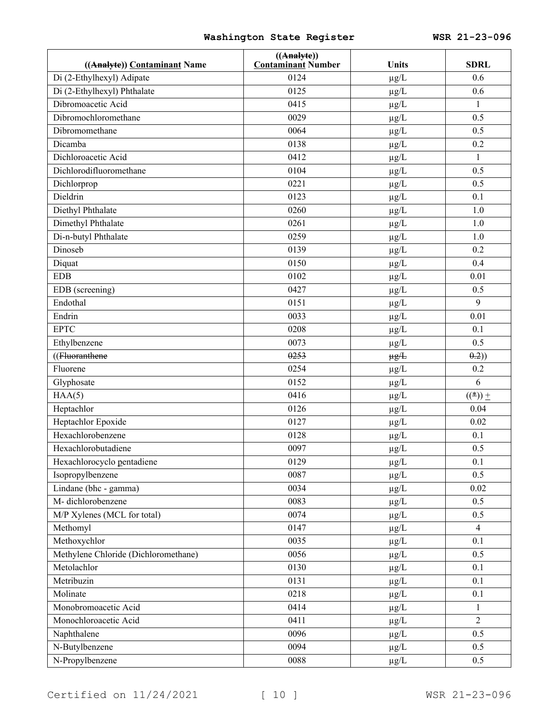| ((Analyte)) Contaminant Name         | ((A <sub>nalyte</sub> ))<br><b>Contaminant Number</b> | <b>Units</b> | <b>SDRL</b>    |
|--------------------------------------|-------------------------------------------------------|--------------|----------------|
| Di (2-Ethylhexyl) Adipate            | 0124                                                  | $\mu g/L$    | 0.6            |
| Di (2-Ethylhexyl) Phthalate          | 0125                                                  | $\mu g/L$    | 0.6            |
| Dibromoacetic Acid                   | 0415                                                  | $\mu g/L$    | $\mathbf{1}$   |
| Dibromochloromethane                 | 0029                                                  | $\mu g/L$    | 0.5            |
| Dibromomethane                       | 0064                                                  | $\mu g/L$    | 0.5            |
| Dicamba                              | 0138                                                  | $\mu g/L$    | 0.2            |
| Dichloroacetic Acid                  | 0412                                                  | $\mu g/L$    | $\mathbf{1}$   |
| Dichlorodifluoromethane              | 0104                                                  | $\mu g/L$    | 0.5            |
| Dichlorprop                          | 0221                                                  | $\mu g/L$    | 0.5            |
| Dieldrin                             | 0123                                                  | $\mu g/L$    | 0.1            |
| Diethyl Phthalate                    | 0260                                                  | $\mu g/L$    | 1.0            |
| Dimethyl Phthalate                   | 0261                                                  | $\mu g/L$    | 1.0            |
| Di-n-butyl Phthalate                 | 0259                                                  | $\mu g/L$    | 1.0            |
| Dinoseb                              | 0139                                                  | $\mu g/L$    | 0.2            |
| Diquat                               | 0150                                                  | $\mu g/L$    | 0.4            |
| <b>EDB</b>                           | 0102                                                  | $\mu g/L$    | 0.01           |
| EDB (screening)                      | 0427                                                  | $\mu g/L$    | 0.5            |
| Endothal                             | 0151                                                  | $\mu g/L$    | 9              |
| Endrin                               | 0033                                                  | $\mu g/L$    | 0.01           |
| <b>EPTC</b>                          | 0208                                                  | $\mu g/L$    | 0.1            |
| Ethylbenzene                         | 0073                                                  | $\mu g/L$    | 0.5            |
| ((Fluoranthene                       | 0253                                                  | $\mu g/L$    | (0.2)          |
| Fluorene                             | 0254                                                  | $\mu g/L$    | 0.2            |
| Glyphosate                           | 0152                                                  | $\mu g/L$    | 6              |
| HAA(5)                               | 0416                                                  | $\mu g/L$    | $((*)$ +       |
| Heptachlor                           | 0126                                                  | $\mu g/L$    | 0.04           |
| Heptachlor Epoxide                   | 0127                                                  | $\mu g/L$    | 0.02           |
| Hexachlorobenzene                    | 0128                                                  | $\mu g/L$    | 0.1            |
| Hexachlorobutadiene                  | 0097                                                  | $\mu g/L$    | 0.5            |
| Hexachlorocyclo pentadiene           | 0129                                                  | $\mu$ g/L    | 0.1            |
| Isopropylbenzene                     | 0087                                                  | $\mu g/L$    | 0.5            |
| Lindane (bhc - gamma)                | 0034                                                  | $\mu g/L$    | 0.02           |
| M-dichlorobenzene                    | 0083                                                  | $\mu g/L$    | 0.5            |
| M/P Xylenes (MCL for total)          | 0074                                                  | $\mu g/L$    | 0.5            |
| Methomyl                             | 0147                                                  | $\mu g/L$    | $\overline{4}$ |
| Methoxychlor                         | 0035                                                  | $\mu g/L$    | 0.1            |
| Methylene Chloride (Dichloromethane) | 0056                                                  | $\mu g/L$    | 0.5            |
| Metolachlor                          | 0130                                                  | $\mu g/L$    | 0.1            |
| Metribuzin                           | 0131                                                  | $\mu g/L$    | 0.1            |
| Molinate                             | 0218                                                  | $\mu g/L$    | 0.1            |
| Monobromoacetic Acid                 | 0414                                                  | $\mu g/L$    | $\mathbf{1}$   |
| Monochloroacetic Acid                | 0411                                                  | $\mu g/L$    | $\overline{2}$ |
| Naphthalene                          | 0096                                                  | $\mu g/L$    | 0.5            |
| N-Butylbenzene                       | 0094                                                  | $\mu g/L$    | 0.5            |
| N-Propylbenzene                      | 0088                                                  | $\mu g/L$    | 0.5            |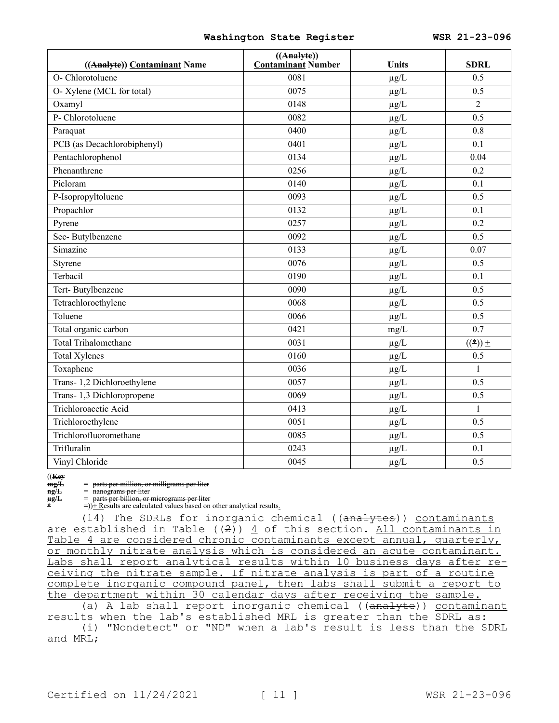| ((Analyte)) Contaminant Name | ((A <sub>nalyte</sub> ))<br><b>Contaminant Number</b> | <b>Units</b> | <b>SDRL</b>      |
|------------------------------|-------------------------------------------------------|--------------|------------------|
| O- Chlorotoluene             | 0081                                                  | $\mu g/L$    | 0.5              |
| O- Xylene (MCL for total)    | 0075                                                  | $\mu g/L$    | 0.5              |
| Oxamyl                       | 0148                                                  | $\mu g/L$    | $\overline{c}$   |
| P- Chlorotoluene             | 0082                                                  | $\mu g/L$    | 0.5              |
| Paraquat                     | 0400                                                  | $\mu g/L$    | 0.8              |
| PCB (as Decachlorobiphenyl)  | 0401                                                  | $\mu g/L$    | 0.1              |
| Pentachlorophenol            | 0134                                                  | $\mu g/L$    | 0.04             |
| Phenanthrene                 | 0256                                                  | $\mu$ g/L    | 0.2              |
| Picloram                     | 0140                                                  | $\mu g/L$    | 0.1              |
| P-Isopropyltoluene           | 0093                                                  | $\mu g/L$    | 0.5              |
| Propachlor                   | 0132                                                  | $\mu g/L$    | 0.1              |
| Pyrene                       | 0257                                                  | $\mu g/L$    | 0.2              |
| Sec-Butylbenzene             | 0092                                                  | $\mu g/L$    | 0.5              |
| Simazine                     | 0133                                                  | $\mu g/L$    | 0.07             |
| Styrene                      | 0076                                                  | $\mu g/L$    | 0.5              |
| Terbacil                     | 0190                                                  | $\mu g/L$    | 0.1              |
| Tert-Butylbenzene            | 0090                                                  | $\mu g/L$    | 0.5              |
| Tetrachloroethylene          | 0068                                                  | $\mu g/L$    | 0.5              |
| Toluene                      | 0066                                                  | $\mu g/L$    | 0.5              |
| Total organic carbon         | 0421                                                  | mg/L         | 0.7              |
| Total Trihalomethane         | 0031                                                  | $\mu g/L$    | $(\binom{*}{+})$ |
| <b>Total Xylenes</b>         | 0160                                                  | $\mu g/L$    | 0.5              |
| Toxaphene                    | 0036                                                  | $\mu g/L$    | $\mathbf{1}$     |
| Trans- 1,2 Dichloroethylene  | 0057                                                  | $\mu g/L$    | 0.5              |
| Trans- 1,3 Dichloropropene   | 0069                                                  | $\mu g/L$    | 0.5              |
| Trichloroacetic Acid         | 0413                                                  | $\mu g/L$    | $\mathbf{1}$     |
| Trichloroethylene            | 0051                                                  | $\mu g/L$    | 0.5              |
| Trichlorofluoromethane       | 0085                                                  | $\mu g/L$    | 0.5              |
| Trifluralin                  | 0243                                                  | $\mu g/L$    | 0.1              |
| Vinyl Chloride               | 0045                                                  | $\mu g/L$    | 0.5              |

((**Key**

**mg/L** = parts per million, or milligrams per liter<br> **ng/L** = nanograms per liter

**ng/L** = <del>nanograms per liter</del><br>  $\mu$ g/L = parts per billion, or r

**µg/L** = parts per billion, or micrograms per liter  $\hat{P}$  =))  $\hat{P}$  Results are calculated values based on other analytical results.

 $(14)$  The SDRLs for inorganic chemical (( $\overline{analvtes}$ )) contaminants are established in Table ( $(2)$ )  $\underline{4}$  of this section. All contaminants in Table 4 are considered chronic contaminants except annual, quarterly, or monthly nitrate analysis which is considered an acute contaminant. Labs shall report analytical results within 10 business days after receiving the nitrate sample. If nitrate analysis is part of a routine complete inorganic compound panel, then labs shall submit a report to the department within 30 calendar days after receiving the sample.

(a) A lab shall report inorganic chemical ((analyte)) contaminant results when the lab's established MRL is greater than the SDRL as: (i) "Nondetect" or "ND" when a lab's result is less than the SDRL

and MRL;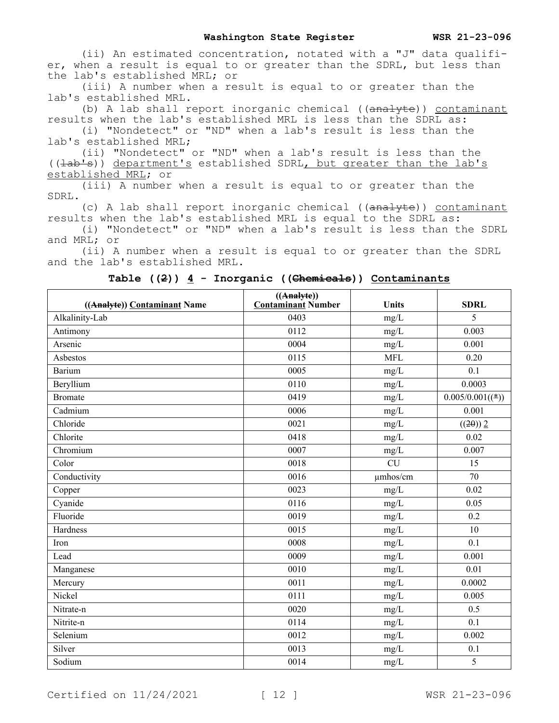(ii) An estimated concentration, notated with a "J" data qualifier, when a result is equal to or greater than the SDRL, but less than the lab's established MRL; or

(iii) A number when a result is equal to or greater than the lab's established MRL.

(b) A lab shall report inorganic chemical  $((\text{anal}yte))$  contaminant results when the lab's established MRL is less than the SDRL as:

(i) "Nondetect" or "ND" when a lab's result is less than the lab's established MRL;

(ii) "Nondetect" or "ND" when a lab's result is less than the  $((\pm ab\pm s))$  department's established SDRL, but greater than the lab's established MRL; or

(iii) A number when a result is equal to or greater than the SDRL.

(c) A lab shall report inorganic chemical ((analyte)) contaminant results when the lab's established MRL is equal to the SDRL as:

(i) "Nondetect" or "ND" when a lab's result is less than the SDRL and MRL; or

(ii) A number when a result is equal to or greater than the SDRL and the lab's established MRL.

| ((Analyte)) Contaminant Name | ((A <sub>nalyte</sub> ))<br><b>Contaminant Number</b> | <b>Units</b> | <b>SDRL</b>       |
|------------------------------|-------------------------------------------------------|--------------|-------------------|
| Alkalinity-Lab               | 0403                                                  | mg/L         | 5                 |
| Antimony                     | 0112                                                  | mg/L         | 0.003             |
| Arsenic                      | 0004                                                  | mg/L         | 0.001             |
| Asbestos                     | 0115                                                  | <b>MFL</b>   | 0.20              |
| Barium                       | 0005                                                  | mg/L         | 0.1               |
| Beryllium                    | 0110                                                  | mg/L         | 0.0003            |
| <b>Bromate</b>               | 0419                                                  | mg/L         | $0.005/0.001((*)$ |
| Cadmium                      | 0006                                                  | mg/L         | 0.001             |
| Chloride                     | 0021                                                  | mg/L         | $((2\theta))$ 2   |
| Chlorite                     | 0418                                                  | mg/L         | 0.02              |
| Chromium                     | 0007                                                  | mg/L         | 0.007             |
| Color                        | 0018                                                  | <b>CU</b>    | 15                |
| Conductivity                 | 0016                                                  | umhos/cm     | 70                |
| Copper                       | 0023                                                  | mg/L         | 0.02              |
| Cyanide                      | 0116                                                  | mg/L         | 0.05              |
| Fluoride                     | 0019                                                  | mg/L         | 0.2               |
| Hardness                     | 0015                                                  | mg/L         | 10                |
| Iron                         | 0008                                                  | mg/L         | 0.1               |
| Lead                         | 0009                                                  | mg/L         | 0.001             |
| Manganese                    | 0010                                                  | mg/L         | 0.01              |
| Mercury                      | 0011                                                  | mg/L         | 0.0002            |
| Nickel                       | 0111                                                  | mg/L         | 0.005             |
| Nitrate-n                    | 0020                                                  | mg/L         | 0.5               |
| Nitrite-n                    | 0114                                                  | mg/L         | 0.1               |
| Selenium                     | 0012                                                  | mg/L         | 0.002             |
| Silver                       | 0013                                                  | mg/L         | 0.1               |
| Sodium                       | 0014                                                  | mg/L         | 5                 |

**Table ((2)) 4 - Inorganic ((Chemicals)) Contaminants**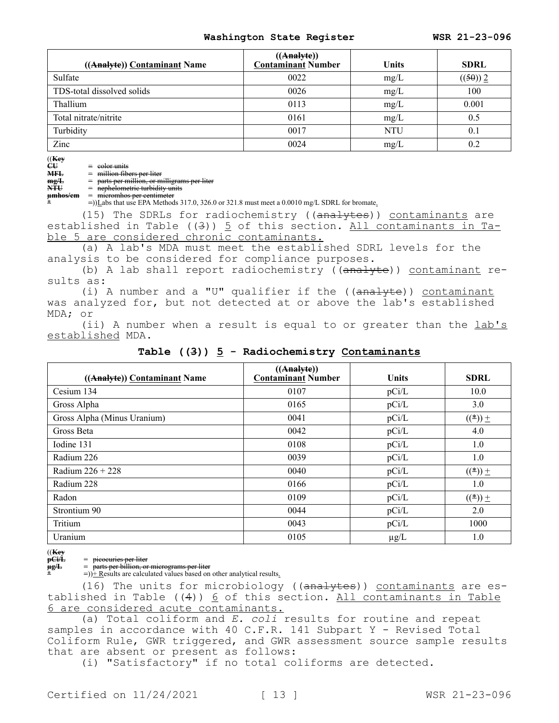| ((Analyte)) Contaminant Name | ((A <sub>nalyte</sub> ))<br><b>Contaminant Number</b> | <b>Units</b> | <b>SDRL</b> |
|------------------------------|-------------------------------------------------------|--------------|-------------|
| Sulfate                      | 0022                                                  | mg/L         | ((50))2     |
| TDS-total dissolved solids   | 0026                                                  | mg/L         | 100         |
| Thallium                     | 0113                                                  | mg/L         | 0.001       |
| Total nitrate/nitrite        | 0161                                                  | mg/L         | 0.5         |
| Turbidity                    | 0017                                                  | <b>NTU</b>   | 0.1         |
| Zinc                         | 0024                                                  | mg/L         | 0.2         |

((**Key**

 $\begin{array}{ccc}\n\widetilde{C}\widetilde{U} & = & \text{color units}\n\end{array}$ <br>  $\begin{array}{ccc}\n\widetilde{H}\widetilde{H} & = & \text{million fib}\n\end{array}$ 

**MFL** = million fibers per liter<br>
mg/L = parts per million, or m **mg/L** = parts per million, or milligrams per liter

**NTU** = nephelometric turbidity units

**µmhos/cm** = micromhos per centimeter

**\*** =))Labs that use EPA Methods 317.0, 326.0 or 321.8 must meet a 0.0010 mg/L SDRL for bromate.

(15) The SDRLs for radiochemistry ((analytes)) contaminants are established in Table  $((3))$   $\overline{5}$  of this section. All contaminants in Table 5 are considered chronic contaminants.

(a) A lab's MDA must meet the established SDRL levels for the analysis to be considered for compliance purposes.

(b) A lab shall report radiochemistry ((analyte)) contaminant results as:

(i) A number and a "U" qualifier if the  $((\text{analyte}))$  contaminant was analyzed for, but not detected at or above the lab's established MDA; or

(ii) A number when a result is equal to or greater than the lab's established MDA.

| ((Analyte)) Contaminant Name | $((\text{Analyte})$<br><b>Contaminant Number</b> | <b>Units</b> | <b>SDRL</b>         |
|------------------------------|--------------------------------------------------|--------------|---------------------|
| Cesium 134                   | 0107                                             | pCi/L        | 10.0                |
| Gross Alpha                  | 0165                                             | pCi/L        | 3.0                 |
| Gross Alpha (Minus Uranium)  | 0041                                             | pCi/L        | $(\binom{*}{\leq})$ |
| Gross Beta                   | 0042                                             | pCi/L        | 4.0                 |
| Iodine 131                   | 0108                                             | pCi/L        | 1.0                 |
| Radium 226                   | 0039                                             | pCi/L        | 1.0                 |
| Radium $226 + 228$           | 0040                                             | pCi/L        | $(\binom{*}{-})$ ±  |
| Radium 228                   | 0166                                             | pCi/L        | 1.0                 |
| Radon                        | 0109                                             | pCi/L        | $(\binom{(*)}{=}$   |
| Strontium 90                 | 0044                                             | pCi/L        | 2.0                 |
| Tritium                      | 0043                                             | pCi/L        | 1000                |
| Uranium                      | 0105                                             | $\mu$ g/L    | 1.0                 |

**Table ((3)) 5 - Radiochemistry Contaminants**

((**Key**

**pCi/L** = picocuries per liter<br> **ug/L** = parts per billion, or

**µg/L** = parts per billion, or micrograms per liter

 $=$ ) $\frac{1}{x}$  Results are calculated values based on other analytical results.

(16) The units for microbiology ((analytes)) contaminants are established in Table  $((4))$  6 of this section. All contaminants in Table 6 are considered acute contaminants.

(a) Total coliform and *E. coli* results for routine and repeat samples in accordance with 40 C.F.R. 141 Subpart Y - Revised Total Coliform Rule, GWR triggered, and GWR assessment source sample results that are absent or present as follows:

(i) "Satisfactory" if no total coliforms are detected.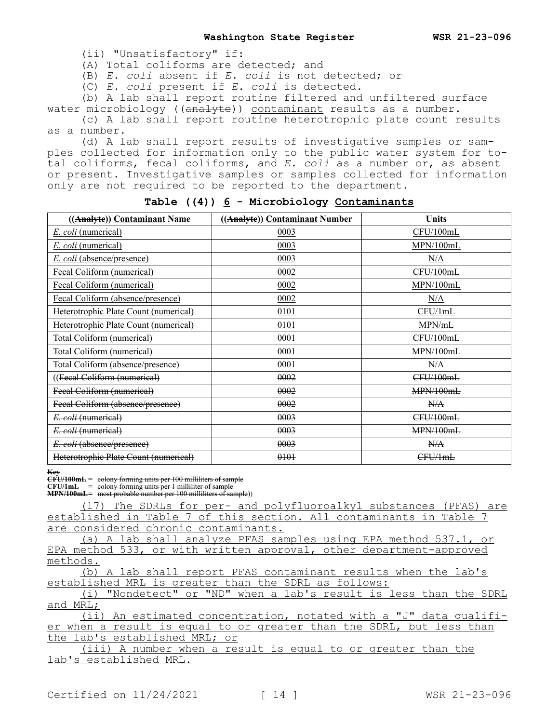(ii) "Unsatisfactory" if:

(A) Total coliforms are detected; and

(B) *E. coli* absent if *E. coli* is not detected; or

(C) *E. coli* present if *E. coli* is detected.

(b) A lab shall report routine filtered and unfiltered surface water microbiology ( $(\overline{analyte})$ ) contaminant results as a number.

(c) A lab shall report routine heterotrophic plate count results as a number.

(d) A lab shall report results of investigative samples or samples collected for information only to the public water system for total coliforms, fecal coliforms, and *E. coli* as a number or, as absent or present. Investigative samples or samples collected for information only are not required to be reported to the department.

| ((Analyte)) Contaminant Name          | ((Analyte)) Contaminant Number | <b>Units</b> |
|---------------------------------------|--------------------------------|--------------|
| E. coli (numerical)                   | 0003                           | CFU/100mL    |
| <i>E. coli</i> (numerical)            | 0003                           | MPN/100mL    |
| <i>E. coli</i> (absence/presence)     | 0003                           | N/A          |
| Fecal Coliform (numerical)            | 0002                           | CFU/100mL    |
| Fecal Coliform (numerical)            | 0002                           | MPN/100mL    |
| Fecal Coliform (absence/presence)     | 0002                           | N/A          |
| Heterotrophic Plate Count (numerical) | 0101                           | CFU/1mL      |
| Heterotrophic Plate Count (numerical) | 0101                           | MPN/mL       |
| Total Coliform (numerical)            | 0001                           | CFU/100mL    |
| Total Coliform (numerical)            | 0001                           | MPN/100mL    |
| Total Coliform (absence/presence)     | 0001                           | N/A          |
| ((Fecal Coliform (numerical)          | 0002                           | CFU/100mL    |
| Feeal Coliform (numerical)            | 0002                           | MPN/100mL    |
| Fecal Coliform (absence/presence)     | 0002                           | N/A          |
| E. coli (numerical)                   | 0003                           | CFU/100mL    |
| E. coli (numerical)                   | 0003                           | MPN/100mL    |
| E. coli (absence/presence)            | 0003                           | N/A          |
| Heterotrophic Plate Count (numerical) | 0101                           | CFU/1mL      |

### **Table ((4)) 6 - Microbiology Contaminants**

**Key**

**CFU/100mL** = colony forming units per 100 milliliters of sample

**CFU/1mL** = colony forming units per 1 milliliter of sample **MPN/100mL**= most probable number per 100 milliliters of sample))

(17) The SDRLs for per- and polyfluoroalkyl substances (PFAS) are established in Table 7 of this section. All contaminants in Table 7 are considered chronic contaminants.

(a) A lab shall analyze PFAS samples using EPA method 537.1, or EPA method 533, or with written approval, other department-approved methods.

(b) A lab shall report PFAS contaminant results when the lab's established MRL is greater than the SDRL as follows:

(i) "Nondetect" or "ND" when a lab's result is less than the SDRL and MRL;

(ii) An estimated concentration, notated with a "J" data qualifier when a result is equal to or greater than the SDRL, but less than the lab's established MRL; or

(iii) A number when a result is equal to or greater than the lab's established MRL.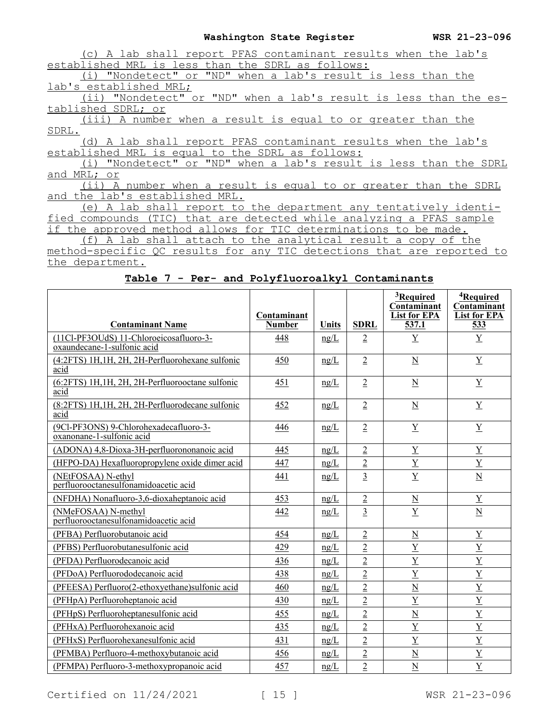| A lab shall report PFAS contaminant results when the lab's                 |
|----------------------------------------------------------------------------|
| established MRL is less than the SDRL as follows:                          |
| (i) "Nondetect" or "ND" when a lab's result is less than the               |
| lab's established MRL;                                                     |
| (ii) "Nondetect" or "ND" when a lab's result is less than the es-          |
| tablished SDRL; or                                                         |
| (iii) A number when a result is equal to or greater than the               |
| SDRL.                                                                      |
| (d) A lab shall report PFAS contaminant results when the lab's             |
| established MRL is equal to the SDRL as follows:                           |
| "Nondetect" or "ND" when a lab's result is less than the SDRL<br>(i)       |
| and MRL; or                                                                |
| A number when a result is equal to or greater than the SDRL<br>(i)         |
| and the lab's established MRL.                                             |
| A lab shall report to the department any tentatively identi-<br>(e)        |
| that are detected while analyzing a PFAS sample<br>fied compounds<br>(TIC) |
| if the approved method allows for TIC determinations to be made.           |

(f) A lab shall attach to the analytical result a copy of the

method-specific QC results for any TIC detections that are reported to the department.

**Table 7 - Per- and Polyfluoroalkyl Contaminants**

| <b>Contaminant Name</b>                                                | Contaminant<br><b>Number</b> | Units | <b>SDRL</b>    | <sup>3</sup> Required<br>Contaminant<br><b>List for EPA</b><br>537.1 | <sup>4</sup> Required<br>Contaminant<br><b>List for EPA</b><br>533 |
|------------------------------------------------------------------------|------------------------------|-------|----------------|----------------------------------------------------------------------|--------------------------------------------------------------------|
| (11Cl-PF3OUdS) 11-Chloroeicosafluoro-3-<br>oxaundecane-1-sulfonic acid | 448                          | ng/L  | $\overline{2}$ | Y                                                                    | $\underline{Y}$                                                    |
| (4:2FTS) 1H, 1H, 2H, 2H-Perfluorohexane sulfonic<br>acid               | 450                          | ng/L  | $\overline{2}$ | $\underline{\mathbf{N}}$                                             | $\mathbf Y$                                                        |
| (6:2FTS) 1H,1H, 2H, 2H-Perfluorooctane sulfonic<br>acid                | 451                          | ng/L  | $\overline{2}$ | $\underline{N}$                                                      | $\underline{\mathbf{Y}}$                                           |
| (8:2FTS) 1H, 1H, 2H, 2H-Perfluorodecane sulfonic<br>acid               | 452                          | ng/L  | $\overline{2}$ | $\underline{\mathbf{N}}$                                             | $\underline{Y}$                                                    |
| (9Cl-PF3ONS) 9-Chlorohexadecafluoro-3-<br>oxanonane-1-sulfonic acid    | 446                          | ng/L  | $\overline{2}$ | $\underline{Y}$                                                      | Y                                                                  |
| (ADONA) 4,8-Dioxa-3H-perfluorononanoic acid                            | 445                          | ng/L  | $\overline{2}$ | $\underline{Y}$                                                      | $\underline{Y}$                                                    |
| (HFPO-DA) Hexafluoropropylene oxide dimer acid                         | 447                          | ng/L  | $\overline{2}$ | $\underline{Y}$                                                      | $\underline{Y}$                                                    |
| (NEtFOSAA) N-ethyl<br>perfluorooctanesulfonamidoacetic acid            | 441                          | ng/L  | $\overline{3}$ | $\overline{Y}$                                                       | $\underline{N}$                                                    |
| (NFDHA) Nonafluoro-3,6-dioxaheptanoic acid                             | 453                          | ng/L  | $\overline{2}$ | $\underline{N}$                                                      | $\underline{Y}$                                                    |
| (NMeFOSAA) N-methyl<br>perfluorooctanesulfonamidoacetic acid           | 442                          | ng/L  | $\overline{3}$ | $\overline{Y}$                                                       | $\underline{\mathbf{N}}$                                           |
| (PFBA) Perfluorobutanoic acid                                          | 454                          | ng/L  | $\overline{2}$ | $\underline{\mathbf{N}}$                                             | $\underline{Y}$                                                    |
| (PFBS) Perfluorobutanesulfonic acid                                    | 429                          | ng/L  | $\overline{2}$ | $\overline{Y}$                                                       | $\underline{\mathbf{Y}}$                                           |
| (PFDA) Perfluorodecanoic acid                                          | 436                          | ng/L  | $\overline{2}$ | $\overline{Y}$                                                       | $\overline{Y}$                                                     |
| (PFDoA) Perfluorododecanoic acid                                       | 438                          | ng/L  | $\overline{2}$ | $\overline{Y}$                                                       | $\underline{Y}$                                                    |
| (PFEESA) Perfluoro(2-ethoxyethane)sulfonic acid                        | 460                          | ng/L  | $\overline{2}$ | $\overline{\mathbf{N}}$                                              | $\overline{Y}$                                                     |
| (PFHpA) Perfluoroheptanoic acid                                        | 430                          | ng/L  | $\overline{2}$ | $\overline{Y}$                                                       | $\overline{Y}$                                                     |
| (PFHpS) Perfluoroheptanesulfonic acid                                  | 455                          | ng/L  | $\overline{2}$ | $\overline{\mathbf{N}}$                                              | $\overline{Y}$                                                     |
| (PFHxA) Perfluorohexanoic acid                                         | 435                          | ng/L  | $\overline{2}$ | $\overline{Y}$                                                       | $\underline{\mathbf{Y}}$                                           |
| (PFHxS) Perfluorohexanesulfonic acid                                   | 431                          | ng/L  | $\overline{2}$ | $\overline{Y}$                                                       | $\overline{Y}$                                                     |
| (PFMBA) Perfluoro-4-methoxybutanoic acid                               | 456                          | ng/L  | $\overline{2}$ | $\underline{N}$                                                      | $\overline{Y}$                                                     |
| (PFMPA) Perfluoro-3-methoxypropanoic acid                              | 457                          | ng/L  | $\overline{2}$ | $\overline{N}$                                                       | $\mathbf Y$                                                        |

Certified on  $11/24/2021$  [ 15 ] WSR 21-23-096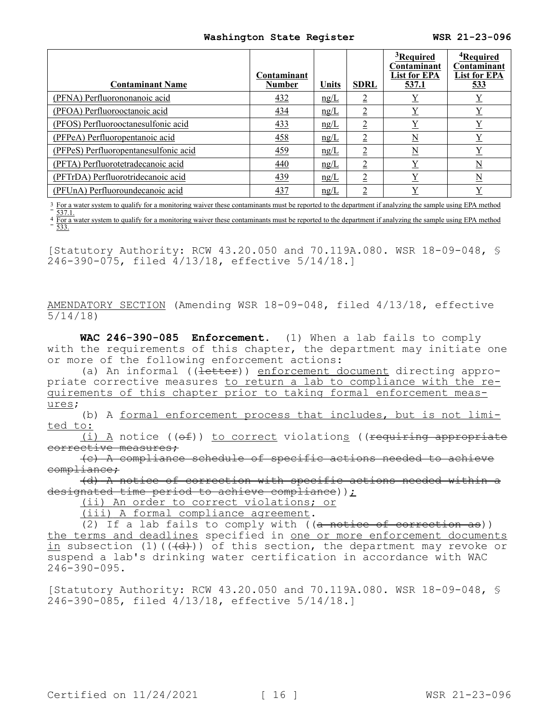| <b>Contaminant Name</b>               | Contaminant<br><b>Number</b> | Units | <b>SDRL</b>    | <sup>3</sup> Required<br>Contaminant<br><b>List for EPA</b><br>537.1 | <sup>4</sup> Required<br>Contaminant<br><b>List for EPA</b><br>533 |
|---------------------------------------|------------------------------|-------|----------------|----------------------------------------------------------------------|--------------------------------------------------------------------|
| (PFNA) Perfluorononanoic acid         | 432                          | ng/L  | ↑              |                                                                      | $\overline{\Lambda}$                                               |
| (PFOA) Perfluorooctanoic acid         | 434                          | ng/L  | $\overline{2}$ | $\underline{Y}$                                                      | $\underline{Y}$                                                    |
| (PFOS) Perfluorooctanesulfonic acid   | 433                          | ng/L  | $\overline{2}$ | $\overline{\Lambda}$                                                 | $\underline{Y}$                                                    |
| (PFPeA) Perfluoropentanoic acid       | 458                          | ng/L  | $\overline{2}$ | $\underline{\mathrm{N}}$                                             | $\underline{Y}$                                                    |
| (PFPeS) Perfluoropentanesulfonic acid | 459                          | ng/L  | $\overline{2}$ | $\underline{N}$                                                      | $\underline{Y}$                                                    |
| (PFTA) Perfluorotetradecanoic acid    | 440                          | ng/L  | $\overline{2}$ | $\overline{\Lambda}$                                                 | $\underline{\rm N}$                                                |
| (PFTrDA) Perfluorotridecanoic acid    | 439                          | ng/L  | $\overline{2}$ | Y                                                                    | N                                                                  |
| (PFUnA) Perfluoroundecanoic acid      | 437                          | ng/L  | ↑              | v                                                                    | v                                                                  |

<sup>3</sup> For a water system to qualify for a monitoring waiver these contaminants must be reported to the department if analyzing the sample using EPA method 537.1.

4 For a water system to qualify for a monitoring waiver these contaminants must be reported to the department if analyzing the sample using EPA method 533.

[Statutory Authority: RCW 43.20.050 and 70.119A.080. WSR 18-09-048, § 246-390-075, filed 4/13/18, effective 5/14/18.]

AMENDATORY SECTION (Amending WSR 18-09-048, filed 4/13/18, effective 5/14/18)

**WAC 246-390-085 Enforcement.** (1) When a lab fails to comply with the requirements of this chapter, the department may initiate one or more of the following enforcement actions:

(a) An informal ((letter)) enforcement document directing appropriate corrective measures to return a lab to compliance with the requirements of this chapter prior to taking formal enforcement measures;

(b) A formal enforcement process that includes, but is not limited to:

(i) A notice ((of)) to correct violations ((requiring appropriate corrective measures;

(c) A compliance schedule of specific actions needed to achieve compliance;

(d) A notice of correction with specific actions needed within a designated time period to achieve compliance) );

(ii) An order to correct violations; or

(iii) A formal compliance agreement.

(2) If a lab fails to comply with  $((a \nleftrightarrow b \nleftrightarrow c)$ the terms and deadlines specified in <u>one or more enforcement documents</u> in subsection (1)( $(\overline{d})$ )) of this section, the department may revoke or suspend a lab's drinking water certification in accordance with WAC 246-390-095.

[Statutory Authority: RCW 43.20.050 and 70.119A.080. WSR 18-09-048, § 246-390-085, filed 4/13/18, effective 5/14/18.]